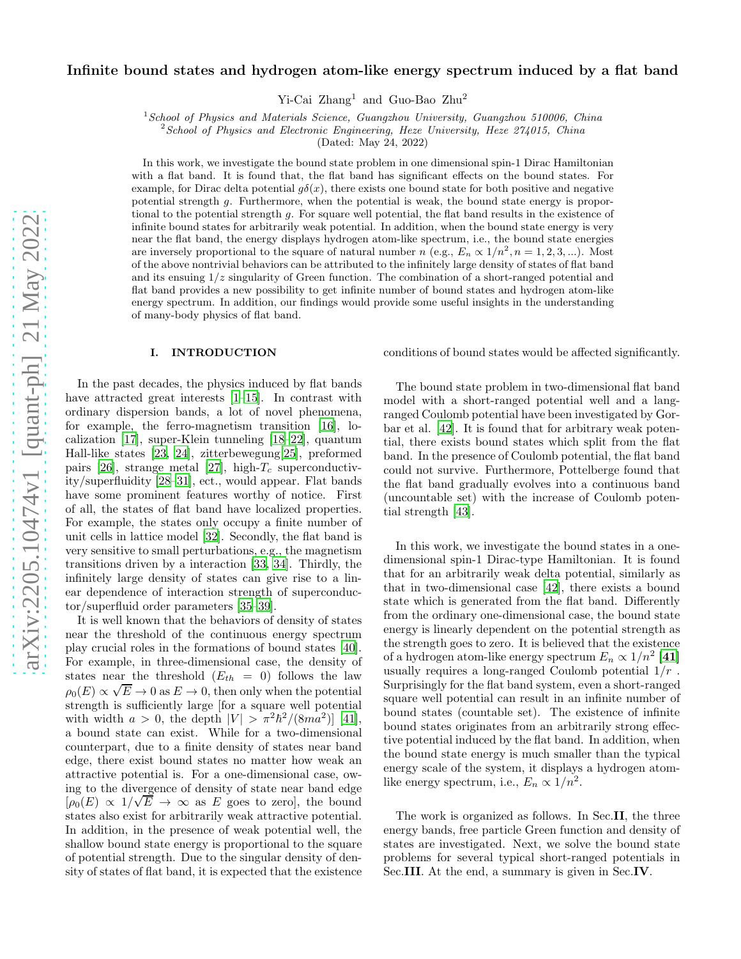# Infinite bound states and hydrogen atom-like energy spectrum induced by a flat band

Yi-Cai Zhang<sup>1</sup> and Guo-Bao Zhu<sup>2</sup>

 $1$ School of Physics and Materials Science, Guangzhou University, Guangzhou 510006, China

 $2$  School of Physics and Electronic Engineering, Heze University, Heze 274015, China

(Dated: May 24, 2022)

In this work, we investigate the bound state problem in one dimensional spin-1 Dirac Hamiltonian with a flat band. It is found that, the flat band has significant effects on the bound states. For example, for Dirac delta potential  $g\delta(x)$ , there exists one bound state for both positive and negative potential strength g. Furthermore, when the potential is weak, the bound state energy is proportional to the potential strength g. For square well potential, the flat band results in the existence of infinite bound states for arbitrarily weak potential. In addition, when the bound state energy is very near the flat band, the energy displays hydrogen atom-like spectrum, i.e., the bound state energies are inversely proportional to the square of natural number n (e.g.,  $E_n \propto 1/n^2$ ,  $n = 1, 2, 3, ...$ ). Most of the above nontrivial behaviors can be attributed to the infinitely large density of states of flat band and its ensuing  $1/z$  singularity of Green function. The combination of a short-ranged potential and flat band provides a new possibility to get infinite number of bound states and hydrogen atom-like energy spectrum. In addition, our findings would provide some useful insights in the understanding of many-body physics of flat band.

## I. INTRODUCTION

In the past decades, the physics induced by flat bands have attracted great interests  $[1-15]$ . In contrast with ordinary dispersion bands, a lot of novel phenomena, for example, the ferro-magnetism transition [\[16\]](#page-10-2), localization [\[17\]](#page-10-3), super-Klein tunneling [\[18](#page-10-4)[–22](#page-10-5)], quantum Hall-like states [\[23,](#page-10-6) [24](#page-10-7)], zitterbewegung[\[25\]](#page-10-8), preformed pairs [\[26\]](#page-10-9), strange metal [\[27](#page-10-10)], high- $T_c$  superconductivity/superfluidity [\[28](#page-10-11)[–31](#page-10-12)], ect., would appear. Flat bands have some prominent features worthy of notice. First of all, the states of flat band have localized properties. For example, the states only occupy a finite number of unit cells in lattice model [\[32\]](#page-10-13). Secondly, the flat band is very sensitive to small perturbations, e.g., the magnetism transitions driven by a interaction [\[33,](#page-10-14) [34](#page-10-15)]. Thirdly, the infinitely large density of states can give rise to a linear dependence of interaction strength of superconductor/superfluid order parameters [\[35](#page-10-16)[–39\]](#page-10-17).

It is well known that the behaviors of density of states near the threshold of the continuous energy spectrum play crucial roles in the formations of bound states [\[40\]](#page-10-18). For example, in three-dimensional case, the density of states near the threshold  $(E_{th} = 0)$  follows the law  $\rho_0(E) \propto \sqrt{E} \to 0$  as  $E \to 0$ , then only when the potential strength is sufficiently large [for a square well potential with width  $a > 0$ , the depth  $|V| > \pi^2 \hbar^2 / (8ma^2)$  [\[41\]](#page-11-0), a bound state can exist. While for a two-dimensional counterpart, due to a finite density of states near band edge, there exist bound states no matter how weak an attractive potential is. For a one-dimensional case, owing to the divergence of density of state near band edge  $[\rho_0(E) \propto 1/\sqrt{E} \rightarrow \infty$  as E goes to zero], the bound states also exist for arbitrarily weak attractive potential. In addition, in the presence of weak potential well, the shallow bound state energy is proportional to the square of potential strength. Due to the singular density of density of states of flat band, it is expected that the existence

conditions of bound states would be affected significantly.

The bound state problem in two-dimensional flat band model with a short-ranged potential well and a langranged Coulomb potential have been investigated by Gorbar et al. [\[42](#page-11-1)]. It is found that for arbitrary weak potential, there exists bound states which split from the flat band. In the presence of Coulomb potential, the flat band could not survive. Furthermore, Pottelberge found that the flat band gradually evolves into a continuous band (uncountable set) with the increase of Coulomb potential strength [\[43\]](#page-11-2).

In this work, we investigate the bound states in a onedimensional spin-1 Dirac-type Hamiltonian. It is found that for an arbitrarily weak delta potential, similarly as that in two-dimensional case [\[42](#page-11-1)], there exists a bound state which is generated from the flat band. Differently from the ordinary one-dimensional case, the bound state energy is linearly dependent on the potential strength as the strength goes to zero. It is believed that the existence of a hydrogen atom-like energy spectrum  $E_n \propto 1/n^2$  [\[41\]](#page-11-0) usually requires a long-ranged Coulomb potential  $1/r$ . Surprisingly for the flat band system, even a short-ranged square well potential can result in an infinite number of bound states (countable set). The existence of infinite bound states originates from an arbitrarily strong effective potential induced by the flat band. In addition, when the bound state energy is much smaller than the typical energy scale of the system, it displays a hydrogen atomlike energy spectrum, i.e.,  $E_n \propto 1/n^2$ .

The work is organized as follows. In Sec.II, the three energy bands, free particle Green function and density of states are investigated. Next, we solve the bound state problems for several typical short-ranged potentials in Sec.III. At the end, a summary is given in Sec.IV.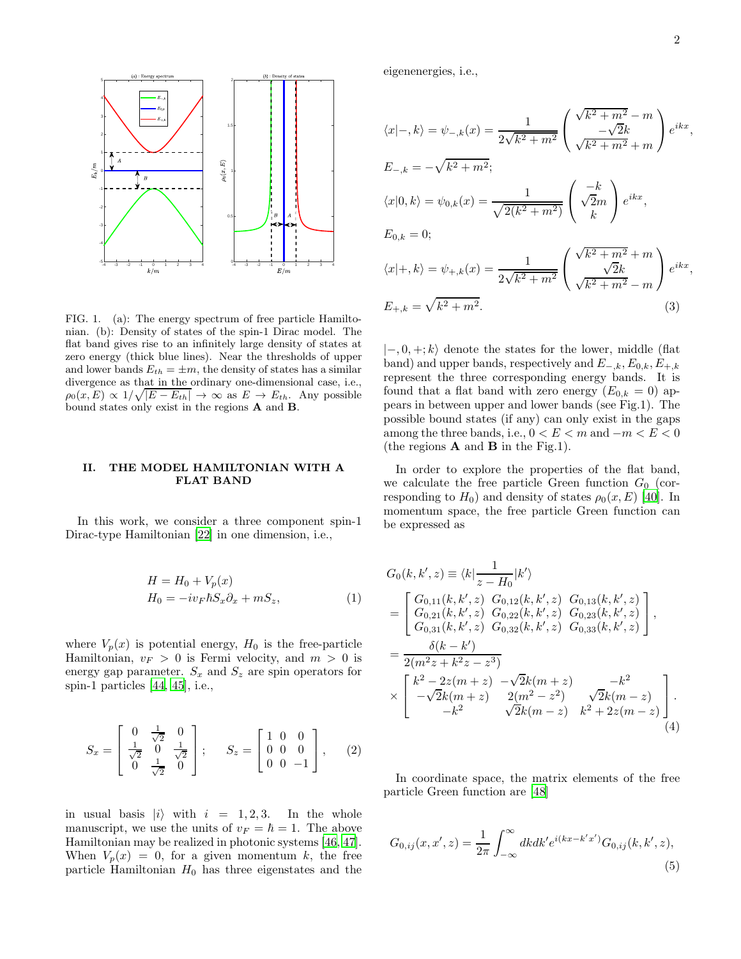

FIG. 1. (a): The energy spectrum of free particle Hamiltonian. (b): Density of states of the spin-1 Dirac model. The flat band gives rise to an infinitely large density of states at zero energy (thick blue lines). Near the thresholds of upper and lower bands  $E_{th} = \pm m$ , the density of states has a similar divergence as that in the ordinary one-dimensional case, i.e.,  $\rho_0(x,E) \propto 1/\sqrt{|E - E_{th}|} \to \infty$  as  $E \to E_{th}$ . Any possible bound states only exist in the regions A and B.

## II. THE MODEL HAMILTONIAN WITH A FLAT BAND

In this work, we consider a three component spin-1 Dirac-type Hamiltonian [\[22\]](#page-10-5) in one dimension, i.e.,

$$
H = H_0 + V_p(x)
$$
  
\n
$$
H_0 = -iv_F \hbar S_x \partial_x + m S_z,
$$
\n(1)

where  $V_p(x)$  is potential energy,  $H_0$  is the free-particle Hamiltonian,  $v_F > 0$  is Fermi velocity, and  $m > 0$  is energy gap parameter.  $S_x$  and  $S_z$  are spin operators for spin-1 particles [\[44](#page-11-3), [45](#page-11-4)], i.e.,

$$
S_x = \begin{bmatrix} 0 & \frac{1}{\sqrt{2}} & 0 \\ \frac{1}{\sqrt{2}} & 0 & \frac{1}{\sqrt{2}} \\ 0 & \frac{1}{\sqrt{2}} & 0 \end{bmatrix}; \quad S_z = \begin{bmatrix} 1 & 0 & 0 \\ 0 & 0 & 0 \\ 0 & 0 & -1 \end{bmatrix}, \quad (2)
$$

in usual basis  $|i\rangle$  with  $i = 1, 2, 3$ . In the whole manuscript, we use the units of  $v_F = \hbar = 1$ . The above Hamiltonian may be realized in photonic systems [\[46,](#page-11-5) [47\]](#page-11-6). When  $V_p(x) = 0$ , for a given momentum k, the free particle Hamiltonian  $H_0$  has three eigenstates and the

eigenenergies, i.e.,

$$
\langle x|-,k\rangle = \psi_{-,k}(x) = \frac{1}{2\sqrt{k^2 + m^2}} \left( \frac{\sqrt{k^2 + m^2} - m}{\sqrt{k^2 + m^2} + m} \right) e^{ikx},
$$
  
\n
$$
E_{-,k} = -\sqrt{k^2 + m^2};
$$
  
\n
$$
\langle x|0,k\rangle = \psi_{0,k}(x) = \frac{1}{\sqrt{2(k^2 + m^2)}} \left( \frac{-k}{\sqrt{2}m} \right) e^{ikx},
$$
  
\n
$$
E_{0,k} = 0;
$$
  
\n
$$
\langle x|+,k\rangle = \psi_{+,k}(x) = \frac{1}{2\sqrt{k^2 + m^2}} \left( \frac{\sqrt{k^2 + m^2} + m}{\sqrt{k^2 + m^2} - m} \right) e^{ikx},
$$
  
\n
$$
E_{+,k} = \sqrt{k^2 + m^2}.
$$
  
\n(3)

 $|-,0,+\rangle$  denote the states for the lower, middle (flat band) and upper bands, respectively and  $E_{-k}$ ,  $E_{0,k}$ ,  $E_{+,k}$ represent the three corresponding energy bands. It is found that a flat band with zero energy  $(E_{0,k} = 0)$  appears in between upper and lower bands (see Fig.1). The possible bound states (if any) can only exist in the gaps among the three bands, i.e.,  $0 < E < m$  and  $-m < E < 0$ (the regions  $\bf{A}$  and  $\bf{B}$  in the Fig.1).

In order to explore the properties of the flat band, we calculate the free particle Green function  $G_0$  (corresponding to  $H_0$ ) and density of states  $\rho_0(x, E)$  [\[40](#page-10-18)]. In momentum space, the free particle Green function can be expressed as

<span id="page-1-0"></span>
$$
G_0(k, k', z) \equiv \langle k| \frac{1}{z - H_0} |k'\rangle
$$
  
= 
$$
\begin{bmatrix} G_{0,11}(k, k', z) & G_{0,12}(k, k', z) & G_{0,13}(k, k', z) \\ G_{0,21}(k, k', z) & G_{0,22}(k, k', z) & G_{0,23}(k, k', z) \\ G_{0,31}(k, k', z) & G_{0,32}(k, k', z) & G_{0,33}(k, k', z) \end{bmatrix},
$$
  
= 
$$
\frac{\delta(k - k')}{2(m^2 z + k^2 z - z^3)}
$$
  

$$
\times \begin{bmatrix} k^2 - 2z(m + z) & -\sqrt{2}k(m + z) & -k^2 \\ -\sqrt{2}k(m + z) & 2(m^2 - z^2) & \sqrt{2}k(m - z) \\ -k^2 & \sqrt{2}k(m - z) & k^2 + 2z(m - z) \end{bmatrix}.
$$
  
(4)

In coordinate space, the matrix elements of the free particle Green function are [\[48\]](#page-11-7)

$$
G_{0,ij}(x, x', z) = \frac{1}{2\pi} \int_{-\infty}^{\infty} dk dk' e^{i(kx - k'x')} G_{0,ij}(k, k', z),
$$
\n(5)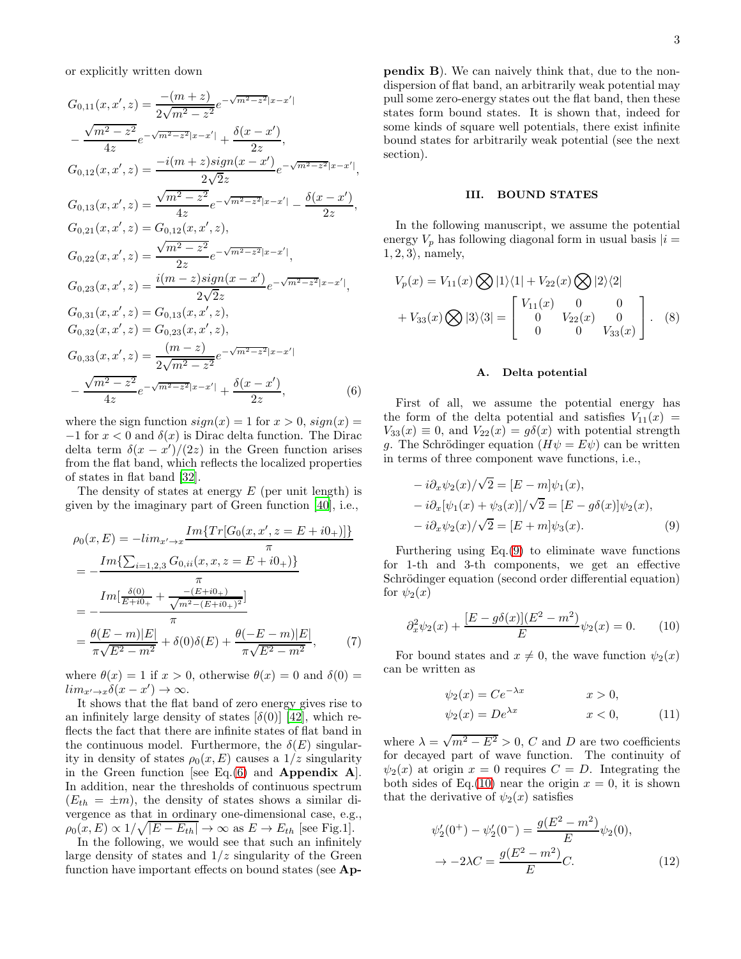or explicitly written down

$$
G_{0,11}(x, x', z) = \frac{-(m+z)}{2\sqrt{m^2 - z^2}} e^{-\sqrt{m^2 - z^2}|x - x'|}
$$
  
\n
$$
-\frac{\sqrt{m^2 - z^2}}{4z} e^{-\sqrt{m^2 - z^2}|x - x'|} + \frac{\delta(x - x')}{2z},
$$
  
\n
$$
G_{0,12}(x, x', z) = \frac{-i(m+z)sign(x - x')}{2\sqrt{2}z} e^{-\sqrt{m^2 - z^2}|x - x'|},
$$
  
\n
$$
G_{0,13}(x, x', z) = \frac{\sqrt{m^2 - z^2}}{4z} e^{-\sqrt{m^2 - z^2}|x - x'|} - \frac{\delta(x - x')}{2z},
$$
  
\n
$$
G_{0,21}(x, x', z) = G_{0,12}(x, x', z),
$$
  
\n
$$
G_{0,22}(x, x', z) = \frac{\sqrt{m^2 - z^2}}{2z} e^{-\sqrt{m^2 - z^2}|x - x'|},
$$
  
\n
$$
G_{0,23}(x, x', z) = \frac{i(m - z)sign(x - x')}{2\sqrt{2}z} e^{-\sqrt{m^2 - z^2}|x - x'|},
$$
  
\n
$$
G_{0,31}(x, x', z) = G_{0,13}(x, x', z),
$$
  
\n
$$
G_{0,32}(x, x', z) = G_{0,23}(x, x', z),
$$
  
\n
$$
G_{0,33}(x, x', z) = \frac{(m - z)}{2\sqrt{m^2 - z^2}} e^{-\sqrt{m^2 - z^2}|x - x'|}
$$
  
\n
$$
-\frac{\sqrt{m^2 - z^2}}{4z} e^{-\sqrt{m^2 - z^2}|x - x'|} + \frac{\delta(x - x')}{2z},
$$
  
\n(6)

where the sign function  $sign(x) = 1$  for  $x > 0$ ,  $sign(x) =$  $-1$  for  $x < 0$  and  $\delta(x)$  is Dirac delta function. The Dirac delta term  $\delta(x-x')/(2z)$  in the Green function arises from the flat band, which reflects the localized properties of states in flat band [\[32\]](#page-10-13).

The density of states at energy  $E$  (per unit length) is given by the imaginary part of Green function [\[40\]](#page-10-18), i.e.,

$$
\rho_0(x, E) = -\lim_{x' \to x} \frac{\operatorname{Im} \{ Tr[G_0(x, x', z = E + i0_+)] \}}{\pi}
$$
  
= 
$$
-\frac{\operatorname{Im} \{ \sum_{i=1,2,3} G_{0,ii}(x, x, z = E + i0_+) \}}{\pi}
$$
  
= 
$$
-\frac{\operatorname{Im} [\frac{\delta(0)}{E + i0_+} + \frac{-(E + i0_+)}{\sqrt{m^2 - (E + i0_+)^2}}]}{\pi}
$$
  
= 
$$
\frac{\theta(E - m)|E|}{\pi \sqrt{E^2 - m^2}} + \delta(0)\delta(E) + \frac{\theta(-E - m)|E|}{\pi \sqrt{E^2 - m^2}},
$$
(7)

where  $\theta(x) = 1$  if  $x > 0$ , otherwise  $\theta(x) = 0$  and  $\delta(0) =$  $\lim_{x' \to x} \delta(x - x') \to \infty.$ 

It shows that the flat band of zero energy gives rise to an infinitely large density of states  $\delta(0)$  [\[42](#page-11-1)], which reflects the fact that there are infinite states of flat band in the continuous model. Furthermore, the  $\delta(E)$  singularity in density of states  $\rho_0(x, E)$  causes a  $1/z$  singularity in the Green function [see Eq. $(6)$  and **Appendix A**]. In addition, near the thresholds of continuous spectrum  $(E_{th} = \pm m)$ , the density of states shows a similar divergence as that in ordinary one-dimensional case, e.g.,  $\rho_0(x, E) \propto 1/\sqrt{|E - E_{th}|} \to \infty \text{ as } E \to E_{th} \text{ [see Fig.1]}.$ 

In the following, we would see that such an infinitely large density of states and  $1/z$  singularity of the Green function have important effects on bound states (see Appendix B). We can naively think that, due to the nondispersion of flat band, an arbitrarily weak potential may pull some zero-energy states out the flat band, then these states form bound states. It is shown that, indeed for some kinds of square well potentials, there exist infinite bound states for arbitrarily weak potential (see the next section).

### III. BOUND STATES

In the following manuscript, we assume the potential energy  $V_p$  has following diagonal form in usual basis  $|i=$  $1, 2, 3$ , namely,

$$
V_p(x) = V_{11}(x) \bigotimes |1\rangle\langle 1| + V_{22}(x) \bigotimes |2\rangle\langle 2|
$$
  
+  $V_{33}(x) \bigotimes |3\rangle\langle 3| = \begin{bmatrix} V_{11}(x) & 0 & 0 \\ 0 & V_{22}(x) & 0 \\ 0 & 0 & V_{33}(x) \end{bmatrix}$ . (8)

#### <span id="page-2-1"></span>A. Delta potential

<span id="page-2-0"></span>First of all, we assume the potential energy has the form of the delta potential and satisfies  $V_{11}(x) =$  $V_{33}(x) \equiv 0$ , and  $V_{22}(x) = g\delta(x)$  with potential strength g. The Schrödinger equation  $(H\psi = E\psi)$  can be written in terms of three component wave functions, i.e.,

$$
-i\partial_x \psi_2(x)/\sqrt{2} = [E - m]\psi_1(x),
$$
  
\n
$$
-i\partial_x[\psi_1(x) + \psi_3(x)]/\sqrt{2} = [E - g\delta(x)]\psi_2(x),
$$
  
\n
$$
-i\partial_x \psi_2(x)/\sqrt{2} = [E + m]\psi_3(x).
$$
 (9)

Furthering using  $Eq.(9)$  $Eq.(9)$  to eliminate wave functions for 1-th and 3-th components, we get an effective Schrödinger equation (second order differential equation) for  $\psi_2(x)$ 

$$
\partial_x^2 \psi_2(x) + \frac{[E - g\delta(x)](E^2 - m^2)}{E} \psi_2(x) = 0. \tag{10}
$$

<span id="page-2-4"></span>For bound states and  $x \neq 0$ , the wave function  $\psi_2(x)$ can be written as

<span id="page-2-2"></span>
$$
\psi_2(x) = Ce^{-\lambda x} \qquad x > 0,
$$
  

$$
\psi_2(x) = De^{\lambda x} \qquad x < 0,
$$
 (11)

where  $\lambda = \sqrt{m^2 - E^2} > 0$ , C and D are two coefficients for decayed part of wave function. The continuity of  $\psi_2(x)$  at origin  $x = 0$  requires  $C = D$ . Integrating the both sides of Eq.[\(10\)](#page-2-2) near the origin  $x = 0$ , it is shown that the derivative of  $\psi_2(x)$  satisfies

<span id="page-2-3"></span>
$$
\psi_2'(0^+) - \psi_2'(0^-) = \frac{g(E^2 - m^2)}{E} \psi_2(0),
$$
  

$$
\to -2\lambda C = \frac{g(E^2 - m^2)}{E}C.
$$
 (12)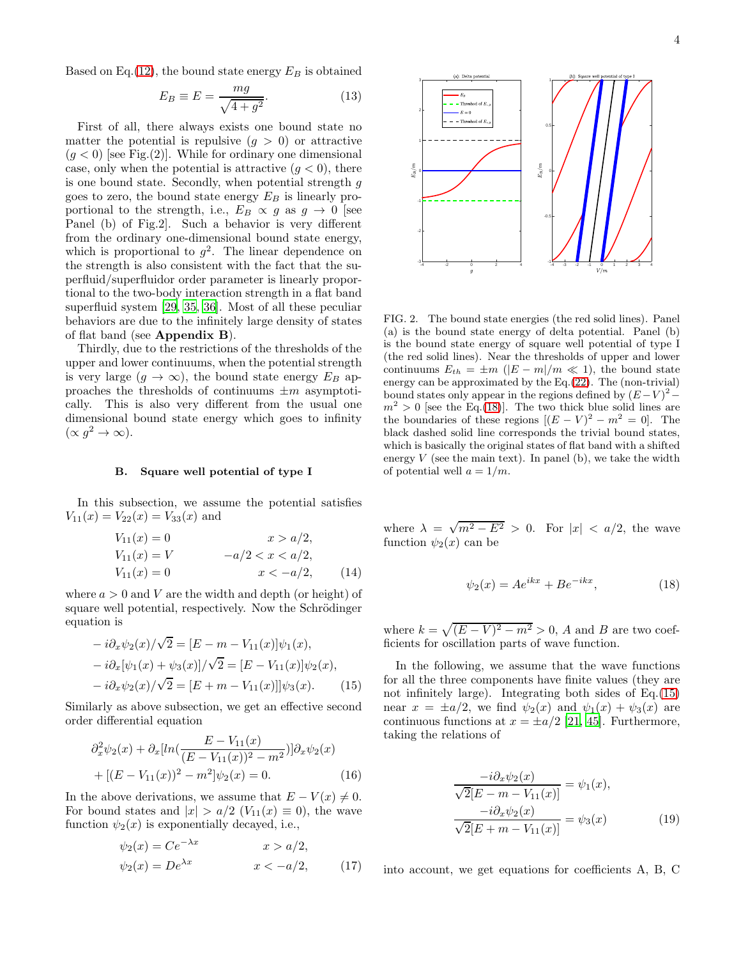$$
E_B \equiv E = \frac{mg}{\sqrt{4+g^2}}.\tag{13}
$$

First of all, there always exists one bound state no matter the potential is repulsive  $(q > 0)$  or attractive  $(g < 0)$  [see Fig.(2)]. While for ordinary one dimensional case, only when the potential is attractive  $(q < 0)$ , there is one bound state. Secondly, when potential strength  $q$ goes to zero, the bound state energy  $E_B$  is linearly proportional to the strength, i.e.,  $E_B \propto g$  as  $g \to 0$  [see Panel (b) of Fig.2]. Such a behavior is very different from the ordinary one-dimensional bound state energy, which is proportional to  $g^2$ . The linear dependence on the strength is also consistent with the fact that the superfluid/superfluidor order parameter is linearly proportional to the two-body interaction strength in a flat band superfluid system [\[29](#page-10-19), [35](#page-10-16), [36](#page-10-20)]. Most of all these peculiar behaviors are due to the infinitely large density of states of flat band (see Appendix B).

Thirdly, due to the restrictions of the thresholds of the upper and lower continuums, when the potential strength is very large  $(q \to \infty)$ , the bound state energy  $E_B$  approaches the thresholds of continuums  $\pm m$  asymptotically. This is also very different from the usual one dimensional bound state energy which goes to infinity  $(\propto g^2 \to \infty).$ 

### B. Square well potential of type I

In this subsection, we assume the potential satisfies  $V_{11}(x) = V_{22}(x) = V_{33}(x)$  and

$$
V_{11}(x) = 0 \t x > a/2,\nV_{11}(x) = V \t -a/2 < x < a/2,\nV_{11}(x) = 0 \t x < -a/2,
$$
\t(14)

where  $a > 0$  and V are the width and depth (or height) of square well potential, respectively. Now the Schrödinger equation is

$$
-i\partial_x \psi_2(x)/\sqrt{2} = [E - m - V_{11}(x)]\psi_1(x),
$$
  
\n
$$
-i\partial_x[\psi_1(x) + \psi_3(x)]/\sqrt{2} = [E - V_{11}(x)]\psi_2(x),
$$
  
\n
$$
-i\partial_x\psi_2(x)/\sqrt{2} = [E + m - V_{11}(x)]\psi_3(x).
$$
 (15)

Similarly as above subsection, we get an effective second order differential equation

$$
\partial_x^2 \psi_2(x) + \partial_x [ln(\frac{E - V_{11}(x)}{(E - V_{11}(x))^2 - m^2})] \partial_x \psi_2(x)
$$
  
+ 
$$
[(E - V_{11}(x))^2 - m^2] \psi_2(x) = 0.
$$
 (16)

In the above derivations, we assume that  $E - V(x) \neq 0$ . For bound states and  $|x| > a/2$   $(V_{11}(x) \equiv 0)$ , the wave function  $\psi_2(x)$  is exponentially decayed, i.e.,

$$
\psi_2(x) = Ce^{-\lambda x} \qquad x > a/2,
$$
  

$$
\psi_2(x) = De^{\lambda x} \qquad x < -a/2,
$$
 (17)

<span id="page-3-4"></span>

FIG. 2. The bound state energies (the red solid lines). Panel (a) is the bound state energy of delta potential. Panel (b) is the bound state energy of square well potential of type I (the red solid lines). Near the thresholds of upper and lower continuums  $E_{th} = \pm m \ (|E - m|/m \ll 1)$ , the bound state energy can be approximated by the Eq.[\(22\)](#page-4-0). The (non-trivial) bound states only appear in the regions defined by  $(E-V)^2$  –  $m^2 > 0$  [see the Eq.[\(18\)](#page-3-0)]. The two thick blue solid lines are the boundaries of these regions  $[(E - V)^2 - m^2] = 0$ . The black dashed solid line corresponds the trivial bound states, which is basically the original states of flat band with a shifted energy  $V$  (see the main text). In panel (b), we take the width of potential well  $a = 1/m$ .

<span id="page-3-2"></span>where  $\lambda = \sqrt{m^2 - E^2} > 0$ . For  $|x| < a/2$ , the wave function  $\psi_2(x)$  can be

<span id="page-3-0"></span>
$$
\psi_2(x) = Ae^{ikx} + Be^{-ikx},\tag{18}
$$

where  $k = \sqrt{(E - V)^2 - m^2} > 0$ , A and B are two coefficients for oscillation parts of wave function.

<span id="page-3-1"></span>In the following, we assume that the wave functions for all the three components have finite values (they are not infinitely large). Integrating both sides of Eq.[\(15\)](#page-3-1) near  $x = \pm a/2$ , we find  $\psi_2(x)$  and  $\psi_1(x) + \psi_3(x)$  are continuous functions at  $x = \pm a/2$  [\[21](#page-10-21), [45\]](#page-11-4). Furthermore, taking the relations of

$$
\frac{-i\partial_x \psi_2(x)}{\sqrt{2}[E - m - V_{11}(x)]} = \psi_1(x),
$$

$$
\frac{-i\partial_x \psi_2(x)}{\sqrt{2}[E + m - V_{11}(x)]} = \psi_3(x)
$$
(19)

<span id="page-3-3"></span>into account, we get equations for coefficients A, B, C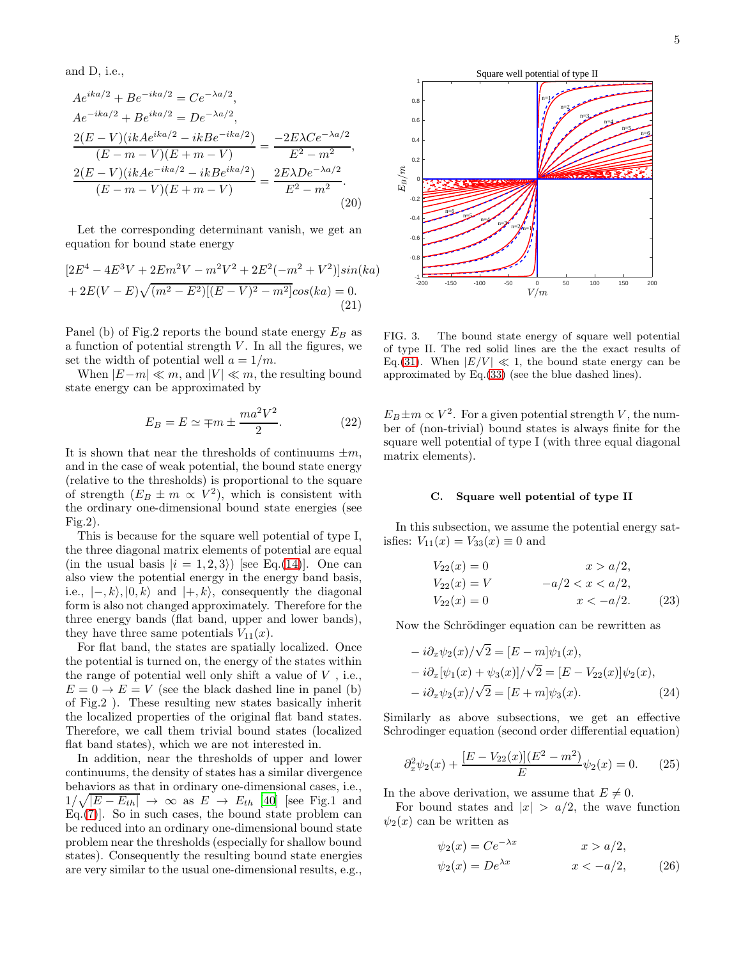and D, i.e.,

$$
Ae^{ika/2} + Be^{-ika/2} = Ce^{-\lambda a/2},
$$
  
\n
$$
Ae^{-ika/2} + Be^{ika/2} = De^{-\lambda a/2},
$$
  
\n
$$
\frac{2(E - V)(ikAe^{ika/2} - ikBe^{-ika/2})}{(E - m - V)(E + m - V)} = \frac{-2E\lambda Ce^{-\lambda a/2}}{E^2 - m^2},
$$
  
\n
$$
\frac{2(E - V)(ikAe^{-ika/2} - ikBe^{ika/2})}{(E - m - V)(E + m - V)} = \frac{2E\lambda De^{-\lambda a/2}}{E^2 - m^2}.
$$
  
\n(20)

Let the corresponding determinant vanish, we get an equation for bound state energy

$$
[2E4 - 4E3V + 2Em2V - m2V2 + 2E2(-m2 + V2)]sin(ka)
$$
  
+ 2E(V – E) $\sqrt{(m2 – E2)[(E – V)2 – m2]}cos(ka) = 0.$   
(21)

Panel (b) of Fig.2 reports the bound state energy  $E_B$  as a function of potential strength  $V$ . In all the figures, we set the width of potential well  $a = 1/m$ .

When  $|E-m| \ll m$ , and  $|V| \ll m$ , the resulting bound state energy can be approximated by

$$
E_B = E \simeq \mp m \pm \frac{ma^2V^2}{2}.
$$
 (22)

It is shown that near the thresholds of continuums  $\pm m$ , and in the case of weak potential, the bound state energy (relative to the thresholds) is proportional to the square of strength  $(E_B \pm m \propto V^2)$ , which is consistent with the ordinary one-dimensional bound state energies (see Fig.2).

This is because for the square well potential of type I, the three diagonal matrix elements of potential are equal (in the usual basis  $|i = 1, 2, 3\rangle$ ) [see Eq.[\(14\)](#page-3-2)]. One can also view the potential energy in the energy band basis, i.e.,  $|-, k \rangle$ ,  $|0, k \rangle$  and  $|+, k \rangle$ , consequently the diagonal form is also not changed approximately. Therefore for the three energy bands (flat band, upper and lower bands), they have three same potentials  $V_{11}(x)$ .

For flat band, the states are spatially localized. Once the potential is turned on, the energy of the states within the range of potential well only shift a value of  $V$ , i.e.,  $E = 0 \rightarrow E = V$  (see the black dashed line in panel (b) of Fig.2 ). These resulting new states basically inherit the localized properties of the original flat band states. Therefore, we call them trivial bound states (localized flat band states), which we are not interested in.

In addition, near the thresholds of upper and lower continuums, the density of states has a similar divergence behaviors as that in ordinary one-dimensional cases, i.e.,  $\frac{1}{\sqrt{|E - E_{th}|}} \rightarrow \infty$  as  $E \rightarrow E_{th}$  [\[40\]](#page-10-18) [see Fig.1 and Eq.[\(7\)](#page-2-4)]. So in such cases, the bound state problem can be reduced into an ordinary one-dimensional bound state problem near the thresholds (especially for shallow bound states). Consequently the resulting bound state energies are very similar to the usual one-dimensional results, e.g.,



FIG. 3. The bound state energy of square well potential of type II. The red solid lines are the the exact results of Eq.[\(31\)](#page-5-0). When  $|E/V| \ll 1$ , the bound state energy can be approximated by Eq.[\(33\)](#page-5-1) (see the blue dashed lines).

<span id="page-4-0"></span> $E_B \pm m \propto V^2$ . For a given potential strength V, the number of (non-trivial) bound states is always finite for the square well potential of type I (with three equal diagonal matrix elements).

### C. Square well potential of type II

In this subsection, we assume the potential energy satisfies:  $V_{11}(x) = V_{33}(x) \equiv 0$  and

$$
V_{22}(x) = 0 \t x > a/2,\nV_{22}(x) = V \t -a/2 < x < a/2,\nV_{22}(x) = 0 \t x < -a/2.
$$
\t(23)

Now the Schrödinger equation can be rewritten as

<span id="page-4-1"></span>
$$
-i\partial_x \psi_2(x)/\sqrt{2} = [E - m]\psi_1(x),-i\partial_x[\psi_1(x) + \psi_3(x)]/\sqrt{2} = [E - V_{22}(x)]\psi_2(x),-i\partial_x \psi_2(x)/\sqrt{2} = [E + m]\psi_3(x).
$$
 (24)

Similarly as above subsections, we get an effective Schrodinger equation (second order differential equation)

$$
\partial_x^2 \psi_2(x) + \frac{[E - V_{22}(x)](E^2 - m^2)}{E} \psi_2(x) = 0. \tag{25}
$$

In the above derivation, we assume that  $E \neq 0$ .

For bound states and  $|x| > a/2$ , the wave function  $\psi_2(x)$  can be written as

<span id="page-4-3"></span><span id="page-4-2"></span>
$$
\psi_2(x) = Ce^{-\lambda x} \qquad x > a/2,
$$
  

$$
\psi_2(x) = De^{\lambda x} \qquad x < -a/2,
$$
 (26)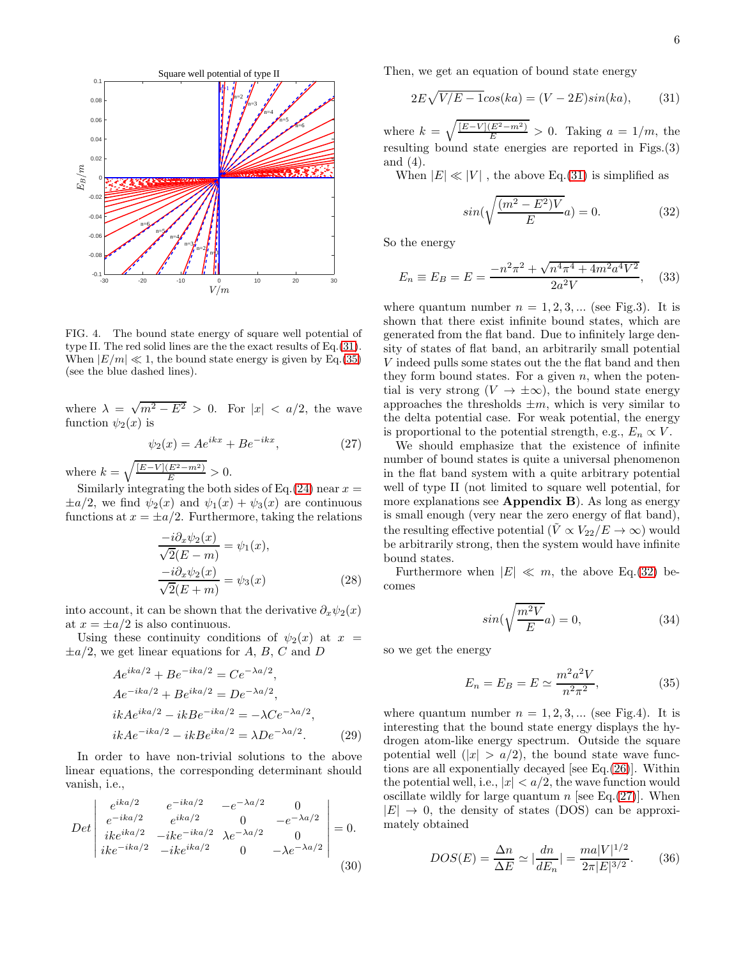

FIG. 4. The bound state energy of square well potential of type II. The red solid lines are the the exact results of Eq.[\(31\)](#page-5-0). When  $|E/m| \ll 1$ , the bound state energy is given by Eq.[\(35\)](#page-5-2) (see the blue dashed lines).

where  $\lambda = \sqrt{m^2 - E^2} > 0$ . For  $|x| < a/2$ , the wave function  $\psi_2(x)$  is

$$
\psi_2(x) = Ae^{ikx} + Be^{-ikx},\tag{27}
$$

where  $k = \sqrt{\frac{[E-V](E^2 - m^2)}{E}} > 0.$ 

Similarly integrating the both sides of Eq.[\(24\)](#page-4-1) near  $x =$  $\pm a/2$ , we find  $\psi_2(x)$  and  $\psi_1(x) + \psi_3(x)$  are continuous functions at  $x = \pm a/2$ . Furthermore, taking the relations

$$
\frac{-i\partial_x \psi_2(x)}{\sqrt{2}(E-m)} = \psi_1(x),
$$

$$
\frac{-i\partial_x \psi_2(x)}{\sqrt{2}(E+m)} = \psi_3(x)
$$
(28)

into account, it can be shown that the derivative  $\partial_x \psi_2(x)$ at  $x = \pm a/2$  is also continuous.

Using these continuity conditions of  $\psi_2(x)$  at  $x =$  $\pm a/2$ , we get linear equations for A, B, C and D

$$
Ae^{ika/2} + Be^{-ika/2} = Ce^{-\lambda a/2},
$$
  
\n
$$
Ae^{-ika/2} + Be^{ika/2} = De^{-\lambda a/2},
$$
  
\n
$$
ikAe^{ika/2} - ikBe^{-ika/2} = -\lambda Ce^{-\lambda a/2},
$$
  
\n
$$
ikAe^{-ika/2} - ikBe^{ika/2} = \lambda De^{-\lambda a/2}.
$$
\n(29)

In order to have non-trivial solutions to the above linear equations, the corresponding determinant should vanish, i.e.,

$$
Det \begin{vmatrix} e^{ika/2} & e^{-ika/2} & -e^{-\lambda a/2} & 0\\ e^{-ika/2} & e^{ika/2} & 0 & -e^{-\lambda a/2}\\ ike^{ika/2} & -ike^{-ika/2} & \lambda e^{-\lambda a/2} & 0\\ ike^{-ika/2} & -ike^{ika/2} & 0 & -\lambda e^{-\lambda a/2} \end{vmatrix} = 0.
$$
\n(30)

Then, we get an equation of bound state energy

$$
2E\sqrt{V/E - 1}\cos(ka) = (V - 2E)\sin(ka),\qquad(31)
$$

where  $k = \sqrt{\frac{[E-V](E^2-m^2)}{E}} > 0$ . Taking  $a = 1/m$ , the resulting bound state energies are reported in Figs.(3) and (4).

When  $|E| \ll |V|$ , the above Eq.[\(31\)](#page-5-0) is simplified as

<span id="page-5-3"></span><span id="page-5-1"></span><span id="page-5-0"></span>
$$
sin(\sqrt{\frac{(m^2 - E^2)V}{E}}a) = 0.
$$
\n(32)

So the energy

$$
E_n \equiv E_B = E = \frac{-n^2 \pi^2 + \sqrt{n^4 \pi^4 + 4m^2 a^4 V^2}}{2a^2 V},
$$
 (33)

where quantum number  $n = 1, 2, 3, \dots$  (see Fig.3). It is shown that there exist infinite bound states, which are generated from the flat band. Due to infinitely large density of states of flat band, an arbitrarily small potential V indeed pulls some states out the the flat band and then they form bound states. For a given  $n$ , when the potential is very strong  $(V \to \pm \infty)$ , the bound state energy approaches the thresholds  $\pm m$ , which is very similar to the delta potential case. For weak potential, the energy is proportional to the potential strength, e.g.,  $E_n \propto V$ .

<span id="page-5-4"></span>We should emphasize that the existence of infinite number of bound states is quite a universal phenomenon in the flat band system with a quite arbitrary potential well of type II (not limited to square well potential, for more explanations see Appendix B). As long as energy is small enough (very near the zero energy of flat band), the resulting effective potential ( $\tilde{V} \propto V_{22}/E \to \infty$ ) would be arbitrarily strong, then the system would have infinite bound states.

Furthermore when  $|E| \ll m$ , the above Eq.[\(32\)](#page-5-3) becomes

<span id="page-5-5"></span><span id="page-5-2"></span>
$$
sin(\sqrt{\frac{m^2V}{E}}a) = 0,
$$
\n(34)

so we get the energy

$$
E_n = E_B = E \simeq \frac{m^2 a^2 V}{n^2 \pi^2},\tag{35}
$$

where quantum number  $n = 1, 2, 3, \dots$  (see Fig.4). It is interesting that the bound state energy displays the hydrogen atom-like energy spectrum. Outside the square potential well  $(|x| > a/2)$ , the bound state wave functions are all exponentially decayed [see Eq.[\(26\)](#page-4-2)]. Within the potential well, i.e.,  $|x| < a/2$ , the wave function would oscillate wildly for large quantum n [see Eq.[\(27\)](#page-5-4)]. When  $|E| \rightarrow 0$ , the density of states (DOS) can be approximately obtained

$$
DOS(E) = \frac{\Delta n}{\Delta E} \simeq |\frac{dn}{dE_n}| = \frac{ma|V|^{1/2}}{2\pi|E|^{3/2}}.
$$
 (36)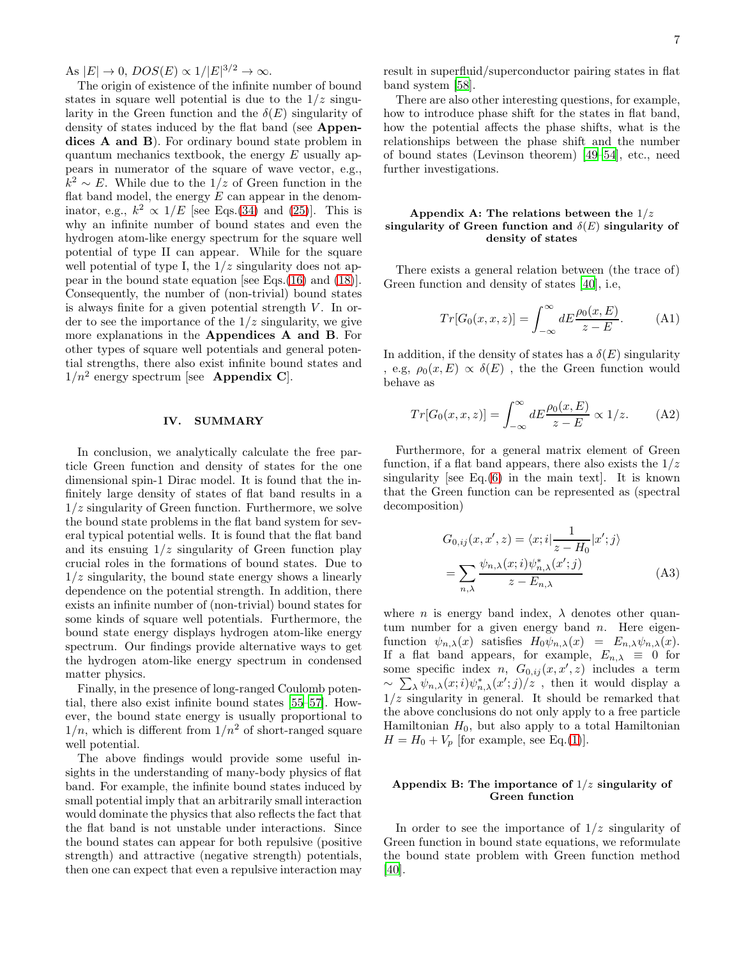As  $|E| \to 0$ ,  $DOS(E) \propto 1/|E|^{3/2} \to \infty$ .

The origin of existence of the infinite number of bound states in square well potential is due to the  $1/z$  singularity in the Green function and the  $\delta(E)$  singularity of density of states induced by the flat band (see Appendices A and B). For ordinary bound state problem in quantum mechanics textbook, the energy  $E$  usually appears in numerator of the square of wave vector, e.g.,  $k^2$  ∼ E. While due to the 1/z of Green function in the flat band model, the energy  $E$  can appear in the denominator, e.g.,  $k^2 \propto 1/E$  [see Eqs.[\(34\)](#page-5-5) and [\(25\)](#page-4-3)]. This is why an infinite number of bound states and even the hydrogen atom-like energy spectrum for the square well potential of type II can appear. While for the square well potential of type I, the  $1/z$  singularity does not appear in the bound state equation [see Eqs.[\(16\)](#page-3-3) and [\(18\)](#page-3-0)]. Consequently, the number of (non-trivial) bound states is always finite for a given potential strength  $V$ . In order to see the importance of the  $1/z$  singularity, we give more explanations in the Appendices A and B. For other types of square well potentials and general potential strengths, there also exist infinite bound states and  $1/n^2$  energy spectrum [see **Appendix C**].

### IV. SUMMARY

In conclusion, we analytically calculate the free particle Green function and density of states for the one dimensional spin-1 Dirac model. It is found that the infinitely large density of states of flat band results in a  $1/z$  singularity of Green function. Furthermore, we solve the bound state problems in the flat band system for several typical potential wells. It is found that the flat band and its ensuing  $1/z$  singularity of Green function play crucial roles in the formations of bound states. Due to  $1/z$  singularity, the bound state energy shows a linearly dependence on the potential strength. In addition, there exists an infinite number of (non-trivial) bound states for some kinds of square well potentials. Furthermore, the bound state energy displays hydrogen atom-like energy spectrum. Our findings provide alternative ways to get the hydrogen atom-like energy spectrum in condensed matter physics.

Finally, in the presence of long-ranged Coulomb potential, there also exist infinite bound states [\[55](#page-11-8)[–57\]](#page-11-9). However, the bound state energy is usually proportional to  $1/n$ , which is different from  $1/n^2$  of short-ranged square well potential.

The above findings would provide some useful insights in the understanding of many-body physics of flat band. For example, the infinite bound states induced by small potential imply that an arbitrarily small interaction would dominate the physics that also reflects the fact that the flat band is not unstable under interactions. Since the bound states can appear for both repulsive (positive strength) and attractive (negative strength) potentials, then one can expect that even a repulsive interaction may

result in superfluid/superconductor pairing states in flat band system [\[58\]](#page-11-10).

There are also other interesting questions, for example, how to introduce phase shift for the states in flat band, how the potential affects the phase shifts, what is the relationships between the phase shift and the number of bound states (Levinson theorem) [\[49](#page-11-11)[–54](#page-11-12)], etc., need further investigations.

# Appendix A: The relations between the  $1/z$ singularity of Green function and  $\delta(E)$  singularity of density of states

There exists a general relation between (the trace of) Green function and density of states [\[40\]](#page-10-18), i.e,

$$
Tr[G_0(x, x, z)] = \int_{-\infty}^{\infty} dE \frac{\rho_0(x, E)}{z - E}.
$$
 (A1)

In addition, if the density of states has a  $\delta(E)$  singularity , e.g,  $\rho_0(x, E) \propto \delta(E)$ , the the Green function would behave as

$$
Tr[G_0(x, x, z)] = \int_{-\infty}^{\infty} dE \frac{\rho_0(x, E)}{z - E} \propto 1/z.
$$
 (A2)

Furthermore, for a general matrix element of Green function, if a flat band appears, there also exists the  $1/z$ singularity [see Eq. $(6)$  in the main text]. It is known that the Green function can be represented as (spectral decomposition)

$$
G_{0,ij}(x, x', z) = \langle x; i | \frac{1}{z - H_0} | x'; j \rangle
$$
  
= 
$$
\sum_{n,\lambda} \frac{\psi_{n,\lambda}(x; i) \psi_{n,\lambda}^*(x'; j)}{z - E_{n,\lambda}}
$$
 (A3)

where *n* is energy band index,  $\lambda$  denotes other quantum number for a given energy band  $n$ . Here eigenfunction  $\psi_{n,\lambda}(x)$  satisfies  $H_0\psi_{n,\lambda}(x) = E_{n,\lambda}\psi_{n,\lambda}(x)$ . If a flat band appears, for example,  $E_{n,\lambda} \equiv 0$  for some specific index *n*,  $G_{0,ij}(x, x', z)$  includes a term  $\sim \sum_{\lambda} \psi_{n,\lambda}(x;i) \psi_{n,\lambda}^*(x';j)/z$ , then it would display a  $1/z$  singularity in general. It should be remarked that the above conclusions do not only apply to a free particle Hamiltonian  $H_0$ , but also apply to a total Hamiltonian  $H = H_0 + V_p$  [for example, see Eq.[\(1\)](#page-1-0)].

## Appendix B: The importance of  $1/z$  singularity of Green function

In order to see the importance of  $1/z$  singularity of Green function in bound state equations, we reformulate the bound state problem with Green function method [\[40\]](#page-10-18).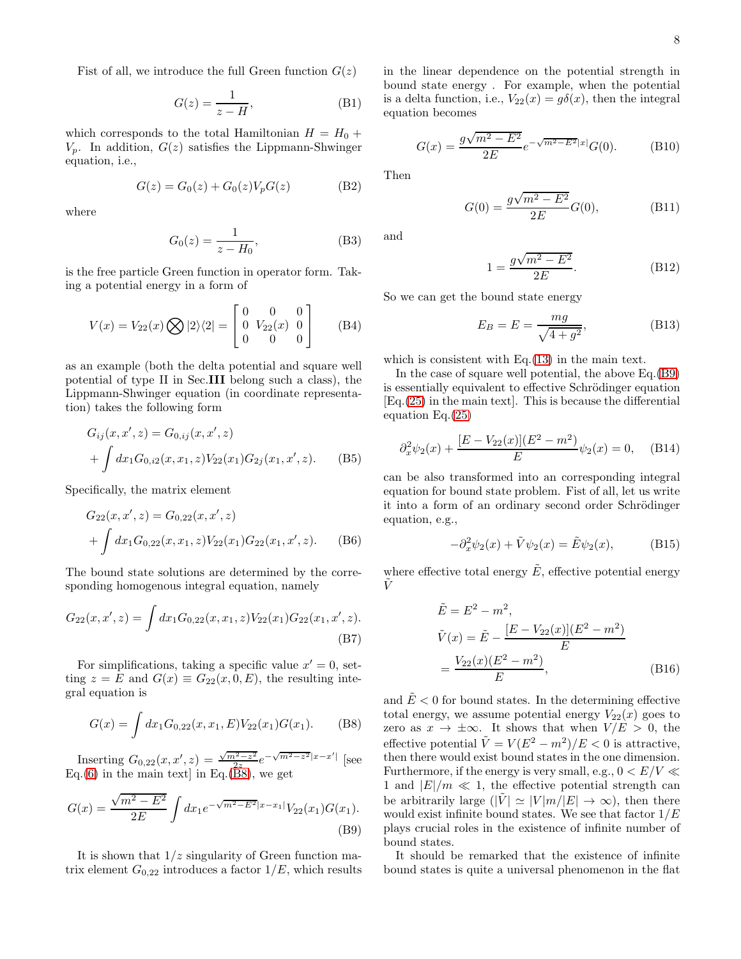Fist of all, we introduce the full Green function  $G(z)$ 

$$
G(z) = \frac{1}{z - H},
$$
 (B1)

which corresponds to the total Hamiltonian  $H = H_0 +$  $V_p$ . In addition,  $G(z)$  satisfies the Lippmann-Shwinger equation, i.e.,

$$
G(z) = G_0(z) + G_0(z)V_p G(z)
$$
 (B2)

where

$$
G_0(z) = \frac{1}{z - H_0},
$$
 (B3)

is the free particle Green function in operator form. Taking a potential energy in a form of

$$
V(x) = V_{22}(x) \bigotimes |2\rangle\langle 2| = \begin{bmatrix} 0 & 0 & 0 \\ 0 & V_{22}(x) & 0 \\ 0 & 0 & 0 \end{bmatrix}
$$
 (B4)

as an example (both the delta potential and square well potential of type II in Sec.III belong such a class), the Lippmann-Shwinger equation (in coordinate representation) takes the following form

$$
G_{ij}(x, x', z) = G_{0,ij}(x, x', z)
$$
  
+ 
$$
\int dx_1 G_{0,i2}(x, x_1, z) V_{22}(x_1) G_{2j}(x_1, x', z).
$$
 (B5)

Specifically, the matrix element

$$
G_{22}(x, x', z) = G_{0,22}(x, x', z)
$$
  
+ 
$$
\int dx_1 G_{0,22}(x, x_1, z) V_{22}(x_1) G_{22}(x_1, x', z). \qquad (B6)
$$

The bound state solutions are determined by the corresponding homogenous integral equation, namely

$$
G_{22}(x, x', z) = \int dx_1 G_{0,22}(x, x_1, z) V_{22}(x_1) G_{22}(x_1, x', z).
$$
\n(B7)

For simplifications, taking a specific value  $x' = 0$ , setting  $z = E$  and  $G(x) \equiv G_{22}(x, 0, E)$ , the resulting integral equation is

$$
G(x) = \int dx_1 G_{0,22}(x, x_1, E) V_{22}(x_1) G(x_1).
$$
 (B8)

Inserting  $G_{0,22}(x, x', z) = \frac{\sqrt{m^2 - z^2}}{2z}$  $\frac{a^2-z^2}{2z}e^{-\sqrt{m^2-z^2}|x-x'|}$  [see  $Eq.(6)$  $Eq.(6)$  in the main text] in Eq.[\(B8\)](#page-7-0), we get

$$
G(x) = \frac{\sqrt{m^2 - E^2}}{2E} \int dx_1 e^{-\sqrt{m^2 - E^2}|x - x_1|} V_{22}(x_1) G(x_1).
$$
\n(B9)

It is shown that  $1/z$  singularity of Green function matrix element  $G_{0,22}$  introduces a factor  $1/E$ , which results in the linear dependence on the potential strength in bound state energy . For example, when the potential is a delta function, i.e.,  $V_{22}(x) = g\delta(x)$ , then the integral equation becomes

$$
G(x) = \frac{g\sqrt{m^2 - E^2}}{2E} e^{-\sqrt{m^2 - E^2}|x|} G(0).
$$
 (B10)

Then

$$
G(0) = \frac{g\sqrt{m^2 - E^2}}{2E}G(0),
$$
 (B11)

and

$$
1 = \frac{g\sqrt{m^2 - E^2}}{2E}.
$$
 (B12)

So we can get the bound state energy

$$
E_B = E = \frac{mg}{\sqrt{4+g^2}},\tag{B13}
$$

which is consistent with Eq.[\(13\)](#page-3-4) in the main text.

In the case of square well potential, the above Eq.[\(B9\)](#page-7-1) is essentially equivalent to effective Schrödinger equation [Eq.[\(25\)](#page-4-3) in the main text]. This is because the differential equation Eq.[\(25\)](#page-4-3)

$$
\partial_x^2 \psi_2(x) + \frac{[E - V_{22}(x)](E^2 - m^2)}{E} \psi_2(x) = 0, \quad \text{(B14)}
$$

can be also transformed into an corresponding integral equation for bound state problem. Fist of all, let us write it into a form of an ordinary second order Schrödinger equation, e.g.,

<span id="page-7-2"></span>
$$
-\partial_x^2 \psi_2(x) + \tilde{V} \psi_2(x) = \tilde{E} \psi_2(x), \qquad (B15)
$$

where effective total energy  $\tilde{E}$ , effective potential energy  $\tilde{V}$ 

<span id="page-7-3"></span>
$$
\tilde{E} = E^2 - m^2,
$$
\n
$$
\tilde{V}(x) = \tilde{E} - \frac{[E - V_{22}(x)](E^2 - m^2)}{E}
$$
\n
$$
= \frac{V_{22}(x)(E^2 - m^2)}{E},
$$
\n(B16)

<span id="page-7-0"></span>and  $\tilde{E}$  < 0 for bound states. In the determining effective total energy, we assume potential energy  $V_{22}(x)$  goes to zero as  $x \to \pm \infty$ . It shows that when  $V/E > 0$ , the effective potential  $\tilde{V} = V(E^2 - m^2)/E < 0$  is attractive, then there would exist bound states in the one dimension. Furthermore, if the energy is very small, e.g.,  $0 < E/V \ll$ 1 and  $|E|/m \ll 1$ , the effective potential strength can be arbitrarily large  $(|\tilde{V}| \simeq |V|m/|E| \to \infty)$ , then there would exist infinite bound states. We see that factor  $1/E$ plays crucial roles in the existence of infinite number of bound states.

<span id="page-7-1"></span>It should be remarked that the existence of infinite bound states is quite a universal phenomenon in the flat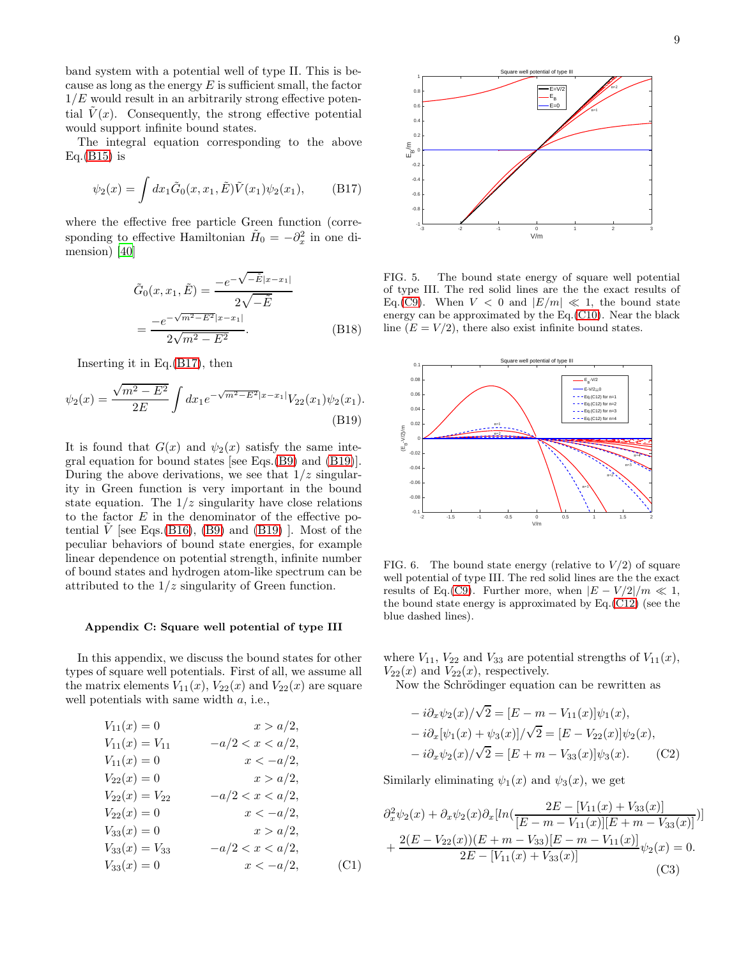band system with a potential well of type II. This is because as long as the energy  $E$  is sufficient small, the factor  $1/E$  would result in an arbitrarily strong effective potential  $\tilde{V}(x)$ . Consequently, the strong effective potential would support infinite bound states.

The integral equation corresponding to the above  $Eq.(B15)$  $Eq.(B15)$  is

$$
\psi_2(x) = \int dx_1 \tilde{G}_0(x, x_1, \tilde{E}) \tilde{V}(x_1) \psi_2(x_1), \quad (B17)
$$

where the effective free particle Green function (corresponding to effective Hamiltonian  $\tilde{H}_0 = -\partial_x^2$  in one dimension) [\[40\]](#page-10-18)

$$
\tilde{G}_0(x, x_1, \tilde{E}) = \frac{-e^{-\sqrt{-\tilde{E}}|x - x_1|}}{2\sqrt{-\tilde{E}}}
$$

$$
= \frac{-e^{-\sqrt{m^2 - E^2}|x - x_1|}}{2\sqrt{m^2 - E^2}}.
$$
(B18)

Inserting it in Eq.[\(B17\)](#page-8-0), then

$$
\psi_2(x) = \frac{\sqrt{m^2 - E^2}}{2E} \int dx_1 e^{-\sqrt{m^2 - E^2}|x - x_1|} V_{22}(x_1) \psi_2(x_1).
$$
\n(B19)

It is found that  $G(x)$  and  $\psi_2(x)$  satisfy the same integral equation for bound states [see Eqs.[\(B9\)](#page-7-1) and [\(B19\)](#page-8-1)]. During the above derivations, we see that  $1/z$  singularity in Green function is very important in the bound state equation. The  $1/z$  singularity have close relations to the factor  $E$  in the denominator of the effective po-tential V [see Eqs.[\(B16\)](#page-7-3), [\(B9\)](#page-7-1) and [\(B19\)](#page-8-1) ]. Most of the peculiar behaviors of bound state energies, for example linear dependence on potential strength, infinite number of bound states and hydrogen atom-like spectrum can be attributed to the  $1/z$  singularity of Green function.

## Appendix C: Square well potential of type III

In this appendix, we discuss the bound states for other types of square well potentials. First of all, we assume all the matrix elements  $V_{11}(x)$ ,  $V_{22}(x)$  and  $V_{22}(x)$  are square well potentials with same width a, i.e.,

$$
V_{11}(x) = 0 \t x > a/2,
$$
  
\n
$$
V_{11}(x) = V_{11} \t -a/2 < x < a/2,
$$
  
\n
$$
V_{11}(x) = 0 \t x < -a/2,
$$
  
\n
$$
V_{22}(x) = 0 \t x > a/2,
$$
  
\n
$$
V_{22}(x) = V_{22} \t -a/2 < x < a/2,
$$
  
\n
$$
V_{22}(x) = 0 \t x < -a/2,
$$
  
\n
$$
V_{33}(x) = 0 \t x > a/2,
$$
  
\n
$$
V_{33}(x) = V_{33} \t -a/2 < x < a/2,
$$
  
\n
$$
V_{33}(x) = 0 \t x < -a/2,
$$
  
\n(C1)



<span id="page-8-0"></span>FIG. 5. The bound state energy of square well potential of type III. The red solid lines are the the exact results of Eq.[\(C9\)](#page-9-0). When  $V < 0$  and  $|E/m| \ll 1$ , the bound state energy can be approximated by the Eq.[\(C10\)](#page-9-1). Near the black line  $(E = V/2)$ , there also exist infinite bound states.

<span id="page-8-1"></span>

FIG. 6. The bound state energy (relative to  $V/2$ ) of square well potential of type III. The red solid lines are the the exact results of Eq.[\(C9\)](#page-9-0). Further more, when  $|E - V/2|/m \ll 1$ , the bound state energy is approximated by Eq.[\(C12\)](#page-9-2) (see the blue dashed lines).

where  $V_{11}$ ,  $V_{22}$  and  $V_{33}$  are potential strengths of  $V_{11}(x)$ ,  $V_{22}(x)$  and  $V_{22}(x)$ , respectively.

Now the Schrödinger equation can be rewritten as

<span id="page-8-2"></span>
$$
- i\partial_x \psi_2(x) / \sqrt{2} = [E - m - V_{11}(x)]\psi_1(x),
$$
  
\n
$$
- i\partial_x [\psi_1(x) + \psi_3(x)] / \sqrt{2} = [E - V_{22}(x)]\psi_2(x),
$$
  
\n
$$
- i\partial_x \psi_2(x) / \sqrt{2} = [E + m - V_{33}(x)]\psi_3(x).
$$
 (C2)

Similarly eliminating  $\psi_1(x)$  and  $\psi_3(x)$ , we get

$$
\partial_x^2 \psi_2(x) + \partial_x \psi_2(x) \partial_x [ln(\frac{2E - [V_{11}(x) + V_{33}(x)]}{[E - m - V_{11}(x)][E + m - V_{33}(x)]})]
$$

$$
+ \frac{2(E - V_{22}(x))(E + m - V_{33})[E - m - V_{11}(x)]}{2E - [V_{11}(x) + V_{33}(x)]} \psi_2(x) = 0.
$$
(C3)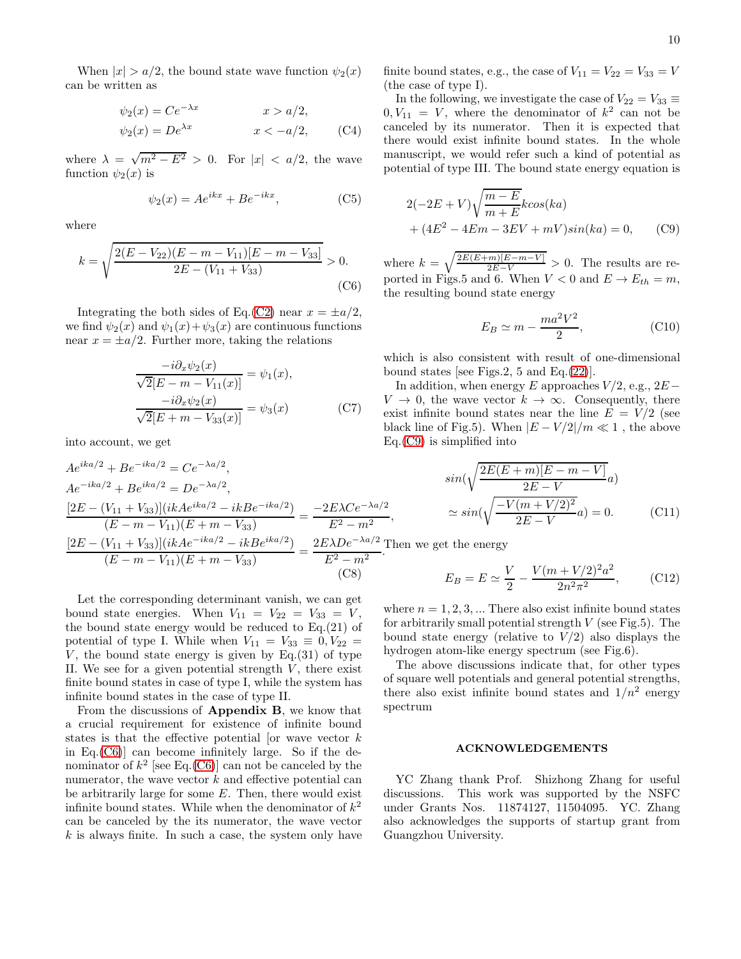When  $|x| > a/2$ , the bound state wave function  $\psi_2(x)$ can be written as

$$
\psi_2(x) = Ce^{-\lambda x} \qquad x > a/2,
$$
  

$$
\psi_2(x) = De^{\lambda x} \qquad x < -a/2,
$$
 (C4)

where  $\lambda = \sqrt{m^2 - E^2} > 0$ . For  $|x| < a/2$ , the wave function  $\psi_2(x)$  is

$$
\psi_2(x) = Ae^{ikx} + Be^{-ikx},\tag{C5}
$$

where

$$
k = \sqrt{\frac{2(E - V_{22})(E - m - V_{11})[E - m - V_{33}]}{2E - (V_{11} + V_{33})}} > 0.
$$
\n(C6)

Integrating the both sides of Eq.[\(C2\)](#page-8-2) near  $x = \pm a/2$ , we find  $\psi_2(x)$  and  $\psi_1(x)+\psi_3(x)$  are continuous functions near  $x = \pm a/2$ . Further more, taking the relations

$$
\frac{-i\partial_x \psi_2(x)}{\sqrt{2}[E - m - V_{11}(x)]} = \psi_1(x),
$$

$$
\frac{-i\partial_x \psi_2(x)}{\sqrt{2}[E + m - V_{33}(x)]} = \psi_3(x)
$$
(C7)

into account, we get

$$
Ae^{ika/2} + Be^{-ika/2} = Ce^{-\lambda a/2},
$$
  
\n
$$
Ae^{-ika/2} + Be^{ika/2} = De^{-\lambda a/2},
$$
  
\n
$$
\frac{[2E - (V_{11} + V_{33})](ikAe^{ika/2} - ikBe^{-ika/2})}{(E - m - V_{11})(E + m - V_{33})} = \frac{-2E\lambda Ce^{-\lambda a/2}}{E^2 - m^2},
$$
  
\n
$$
\frac{[2E - (V_{11} + V_{33})](ikAe^{-ika/2} - ikBe^{ika/2})}{(E - m - V_{11})(E + m - V_{33})} = \frac{2E\lambda De^{-\lambda a/2}}{E^2 - m^2}.
$$
  
\n(C8)

Let the corresponding determinant vanish, we can get bound state energies. When  $V_{11} = V_{22} = V_{33} = V$ , the bound state energy would be reduced to  $Eq.(21)$  of potential of type I. While when  $V_{11} = V_{33} \equiv 0, V_{22} =$ V, the bound state energy is given by  $Eq.(31)$  of type II. We see for a given potential strength  $V$ , there exist finite bound states in case of type I, while the system has infinite bound states in the case of type II.

From the discussions of Appendix B, we know that a crucial requirement for existence of infinite bound states is that the effective potential [or wave vector  $k$ in Eq. $(C6)$ ] can become infinitely large. So if the denominator of  $k^2$  [see Eq.[\(C6\)](#page-9-3)] can not be canceled by the numerator, the wave vector  $k$  and effective potential can be arbitrarily large for some  $E$ . Then, there would exist infinite bound states. While when the denominator of  $k^2$ can be canceled by the its numerator, the wave vector  $k$  is always finite. In such a case, the system only have finite bound states, e.g., the case of  $V_{11} = V_{22} = V_{33} = V$ (the case of type I).

In the following, we investigate the case of  $V_{22} = V_{33} \equiv$  $0, V_{11} = V$ , where the denominator of  $k^2$  can not be canceled by its numerator. Then it is expected that there would exist infinite bound states. In the whole manuscript, we would refer such a kind of potential as potential of type III. The bound state energy equation is

$$
2(-2E + V)\sqrt{\frac{m - E}{m + E}}k\cos(ka)
$$
  
+  $(4E^2 - 4Em - 3EV + mV)\sin(ka) = 0,$  (C9)

<span id="page-9-3"></span>where  $k = \sqrt{\frac{2E(E+m)[E-m-V]}{2E-V}} > 0$ . The results are reported in Figs.5 and 6. When  $V < 0$  and  $E \rightarrow E_{th} = m$ , the resulting bound state energy

<span id="page-9-1"></span><span id="page-9-0"></span>
$$
E_B \simeq m - \frac{ma^2V^2}{2},\tag{C10}
$$

which is also consistent with result of one-dimensional bound states [see Figs.2, 5 and Eq. $(22)$ ].

In addition, when energy E approaches  $V/2$ , e.g.,  $2E V \to 0$ , the wave vector  $k \to \infty$ . Consequently, there exist infinite bound states near the line  $E = V/2$  (see black line of Fig.5). When  $|E-V/2|/m \ll 1$ , the above  $Eq.(C9)$  $Eq.(C9)$  is simplified into

$$
\sin(\sqrt{\frac{2E(E+m)[E-m-V]}{2E-V}}a)
$$

$$
\approx \sin(\sqrt{\frac{-V(m+V/2)^2}{2E-V}}a) = 0.
$$
 (C11)

Then we get the energy

<span id="page-9-2"></span>
$$
E_B = E \simeq \frac{V}{2} - \frac{V(m + V/2)^2 a^2}{2n^2 \pi^2},
$$
 (C12)

where  $n = 1, 2, 3, \dots$  There also exist infinite bound states for arbitrarily small potential strength  $V$  (see Fig.5). The bound state energy (relative to  $V/2$ ) also displays the hydrogen atom-like energy spectrum (see Fig.6).

The above discussions indicate that, for other types of square well potentials and general potential strengths, there also exist infinite bound states and  $1/n^2$  energy spectrum

# ACKNOWLEDGEMENTS

YC Zhang thank Prof. Shizhong Zhang for useful discussions. This work was supported by the NSFC under Grants Nos. 11874127, 11504095. YC. Zhang also acknowledges the supports of startup grant from Guangzhou University.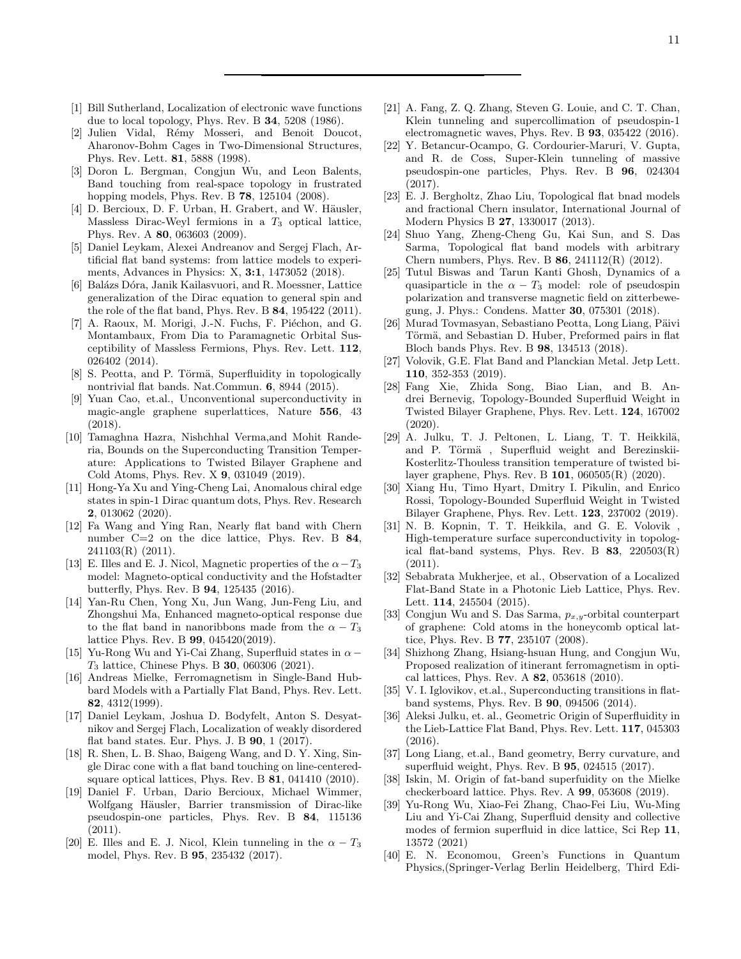- <span id="page-10-0"></span>[1] Bill Sutherland, Localization of electronic wave functions due to local topology, Phys. Rev. B 34, 5208 (1986).
- [2] Julien Vidal, Rémy Mosseri, and Benoit Doucot, Aharonov-Bohm Cages in Two-Dimensional Structures, Phys. Rev. Lett. 81, 5888 (1998).
- [3] Doron L. Bergman, Congjun Wu, and Leon Balents, Band touching from real-space topology in frustrated hopping models, Phys. Rev. B 78, 125104 (2008).
- [4] D. Bercioux, D. F. Urban, H. Grabert, and W. Häusler, Massless Dirac-Weyl fermions in a  $T_3$  optical lattice, Phys. Rev. A 80, 063603 (2009).
- [5] Daniel Leykam, Alexei Andreanov and Sergej Flach, Artificial flat band systems: from lattice models to experiments, Advances in Physics: X, 3:1, 1473052 (2018).
- [6] Balázs Dóra, Janik Kailasvuori, and R. Moessner, Lattice generalization of the Dirac equation to general spin and the role of the flat band, Phys. Rev. B 84, 195422 (2011).
- [7] A. Raoux, M. Morigi, J.-N. Fuchs, F. Piéchon, and G. Montambaux, From Dia to Paramagnetic Orbital Susceptibility of Massless Fermions, Phys. Rev. Lett. 112, 026402 (2014).
- [8] S. Peotta, and P. Törmä, Superfluidity in topologically nontrivial flat bands. Nat.Commun. 6, 8944 (2015).
- [9] Yuan Cao, et.al., Unconventional superconductivity in magic-angle graphene superlattices, Nature 556, 43 (2018).
- [10] Tamaghna Hazra, Nishchhal Verma,and Mohit Randeria, Bounds on the Superconducting Transition Temperature: Applications to Twisted Bilayer Graphene and Cold Atoms, Phys. Rev. X 9, 031049 (2019).
- [11] Hong-Ya Xu and Ying-Cheng Lai, Anomalous chiral edge states in spin-1 Dirac quantum dots, Phys. Rev. Research 2, 013062 (2020).
- [12] Fa Wang and Ying Ran, Nearly flat band with Chern number C=2 on the dice lattice, Phys. Rev. B 84, 241103(R) (2011).
- [13] E. Illes and E. J. Nicol, Magnetic properties of the  $\alpha-T_3$ model: Magneto-optical conductivity and the Hofstadter butterfly, Phys. Rev. B 94, 125435 (2016).
- [14] Yan-Ru Chen, Yong Xu, Jun Wang, Jun-Feng Liu, and Zhongshui Ma, Enhanced magneto-optical response due to the flat band in nanoribbons made from the  $\alpha - T_3$ lattice Phys. Rev. B 99, 045420(2019).
- <span id="page-10-1"></span>[15] Yu-Rong Wu and Yi-Cai Zhang, Superfluid states in  $\alpha$  –  $T_3$  lattice, Chinese Phys. B **30**, 060306 (2021).
- <span id="page-10-2"></span>[16] Andreas Mielke, Ferromagnetism in Single-Band Hubbard Models with a Partially Flat Band, Phys. Rev. Lett. 82, 4312(1999).
- <span id="page-10-3"></span>[17] Daniel Leykam, Joshua D. Bodyfelt, Anton S. Desyatnikov and Sergej Flach, Localization of weakly disordered flat band states. Eur. Phys. J. B 90, 1 (2017).
- <span id="page-10-4"></span>[18] R. Shen, L. B. Shao, Baigeng Wang, and D. Y. Xing, Single Dirac cone with a flat band touching on line-centeredsquare optical lattices, Phys. Rev. B 81, 041410 (2010).
- [19] Daniel F. Urban, Dario Bercioux, Michael Wimmer, Wolfgang Häusler, Barrier transmission of Dirac-like pseudospin-one particles, Phys. Rev. B 84, 115136 (2011).
- [20] E. Illes and E. J. Nicol, Klein tunneling in the  $\alpha T_3$ model, Phys. Rev. B 95, 235432 (2017).
- <span id="page-10-21"></span>[21] A. Fang, Z. Q. Zhang, Steven G. Louie, and C. T. Chan, Klein tunneling and supercollimation of pseudospin-1 electromagnetic waves, Phys. Rev. B 93, 035422 (2016).
- <span id="page-10-5"></span>[22] Y. Betancur-Ocampo, G. Cordourier-Maruri, V. Gupta, and R. de Coss, Super-Klein tunneling of massive pseudospin-one particles, Phys. Rev. B 96, 024304 (2017).
- <span id="page-10-6"></span>[23] E. J. Bergholtz, Zhao Liu, Topological flat bnad models and fractional Chern insulator, International Journal of Modern Physics B 27, 1330017 (2013).
- <span id="page-10-7"></span>[24] Shuo Yang, Zheng-Cheng Gu, Kai Sun, and S. Das Sarma, Topological flat band models with arbitrary Chern numbers, Phys. Rev. B 86, 241112(R) (2012).
- <span id="page-10-8"></span>[25] Tutul Biswas and Tarun Kanti Ghosh, Dynamics of a quasiparticle in the  $\alpha - T_3$  model: role of pseudospin polarization and transverse magnetic field on zitterbewegung, J. Phys.: Condens. Matter 30, 075301 (2018).
- <span id="page-10-9"></span>[26] Murad Toymasyan, Sebastiano Peotta, Long Liang, Päivi Törmä, and Sebastian D. Huber, Preformed pairs in flat Bloch bands Phys. Rev. B 98, 134513 (2018).
- <span id="page-10-10"></span>[27] Volovik, G.E. Flat Band and Planckian Metal. Jetp Lett. 110, 352-353 (2019).
- <span id="page-10-11"></span>[28] Fang Xie, Zhida Song, Biao Lian, and B. Andrei Bernevig, Topology-Bounded Superfluid Weight in Twisted Bilayer Graphene, Phys. Rev. Lett. 124, 167002 (2020).
- <span id="page-10-19"></span>[29] A. Julku, T. J. Peltonen, L. Liang, T. T. Heikkilä, and P. Törmä, Superfluid weight and Berezinskii-Kosterlitz-Thouless transition temperature of twisted bilayer graphene, Phys. Rev. B 101, 060505(R) (2020).
- [30] Xiang Hu, Timo Hyart, Dmitry I. Pikulin, and Enrico Rossi, Topology-Bounded Superfluid Weight in Twisted Bilayer Graphene, Phys. Rev. Lett. 123, 237002 (2019).
- <span id="page-10-12"></span>[31] N. B. Kopnin, T. T. Heikkila, and G. E. Volovik , High-temperature surface superconductivity in topological flat-band systems, Phys. Rev. B  $83$ ,  $220503(R)$ (2011).
- <span id="page-10-13"></span>[32] Sebabrata Mukherjee, et al., Observation of a Localized Flat-Band State in a Photonic Lieb Lattice, Phys. Rev. Lett. 114, 245504 (2015).
- <span id="page-10-14"></span>[33] Congjun Wu and S. Das Sarma,  $p_{x,y}$ -orbital counterpart of graphene: Cold atoms in the honeycomb optical lattice, Phys. Rev. B 77, 235107 (2008).
- <span id="page-10-15"></span>[34] Shizhong Zhang, Hsiang-hsuan Hung, and Congjun Wu, Proposed realization of itinerant ferromagnetism in optical lattices, Phys. Rev. A 82, 053618 (2010).
- <span id="page-10-16"></span>[35] V. I. Iglovikov, et.al., Superconducting transitions in flatband systems, Phys. Rev. B 90, 094506 (2014).
- <span id="page-10-20"></span>[36] Aleksi Julku, et. al., Geometric Origin of Superfluidity in the Lieb-Lattice Flat Band, Phys. Rev. Lett. 117, 045303 (2016).
- [37] Long Liang, et.al., Band geometry, Berry curvature, and superfluid weight, Phys. Rev. B 95, 024515 (2017).
- [38] Iskin, M. Origin of fat-band superfuidity on the Mielke checkerboard lattice. Phys. Rev. A 99, 053608 (2019).
- <span id="page-10-17"></span>[39] Yu-Rong Wu, Xiao-Fei Zhang, Chao-Fei Liu, Wu-Ming Liu and Yi-Cai Zhang, Superfluid density and collective modes of fermion superfluid in dice lattice, Sci Rep 11, 13572 (2021)
- <span id="page-10-18"></span>[40] E. N. Economou, Green's Functions in Quantum Physics,(Springer-Verlag Berlin Heidelberg, Third Edi-